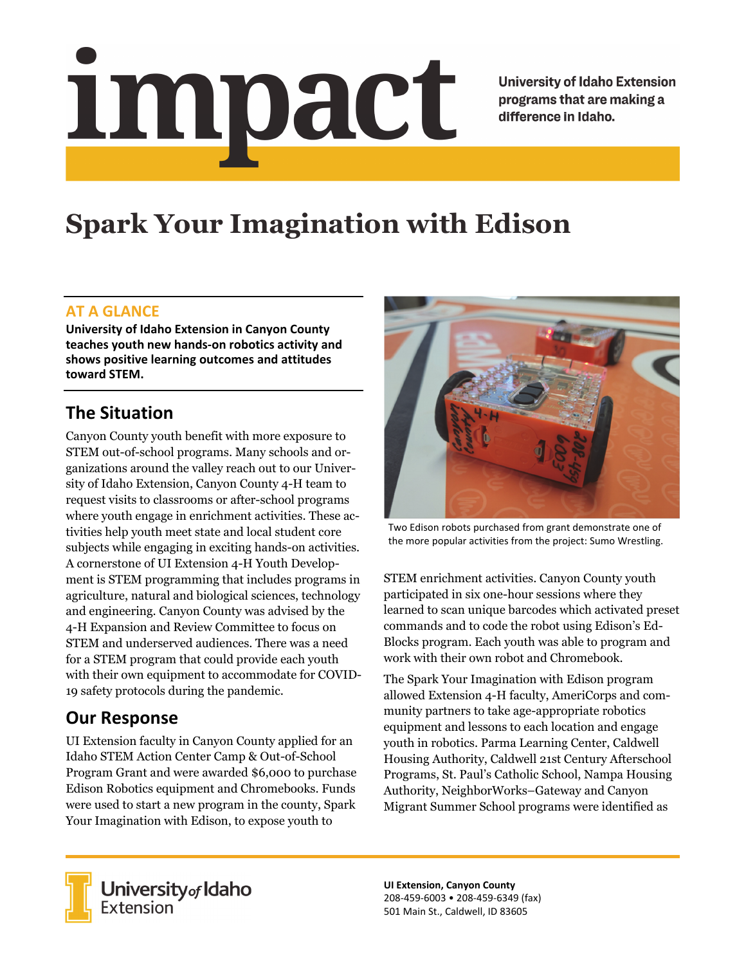# <u>impact</u>

**University of Idaho Extension** programs that are making a difference in Idaho.

# **Spark Your Imagination with Edison**

#### **AT A GLANCE**

**University of Idaho Extension in Canyon County teaches youth new hands‐on robotics activity and shows positive learning outcomes and attitudes toward STEM.**

# **The Situation**

Canyon County youth benefit with more exposure to STEM out-of-school programs. Many schools and organizations around the valley reach out to our University of Idaho Extension, Canyon County 4-H team to request visits to classrooms or after-school programs where youth engage in enrichment activities. These activities help youth meet state and local student core subjects while engaging in exciting hands-on activities. A cornerstone of UI Extension 4-H Youth Development is STEM programming that includes programs in agriculture, natural and biological sciences, technology and engineering. Canyon County was advised by the 4-H Expansion and Review Committee to focus on STEM and underserved audiences. There was a need for a STEM program that could provide each youth with their own equipment to accommodate for COVID-19 safety protocols during the pandemic.

# **Our Response**

UI Extension faculty in Canyon County applied for an Idaho STEM Action Center Camp & Out-of-School Program Grant and were awarded \$6,000 to purchase Edison Robotics equipment and Chromebooks. Funds were used to start a new program in the county, Spark Your Imagination with Edison, to expose youth to



Two Edison robots purchased from grant demonstrate one of the more popular activities from the project: Sumo Wrestling.

STEM enrichment activities. Canyon County youth participated in six one-hour sessions where they learned to scan unique barcodes which activated preset commands and to code the robot using Edison's Ed-Blocks program. Each youth was able to program and work with their own robot and Chromebook.

The Spark Your Imagination with Edison program allowed Extension 4-H faculty, AmeriCorps and community partners to take age-appropriate robotics equipment and lessons to each location and engage youth in robotics. Parma Learning Center, Caldwell Housing Authority, Caldwell 21st Century Afterschool Programs, St. Paul's Catholic School, Nampa Housing Authority, NeighborWorks–Gateway and Canyon Migrant Summer School programs were identified as



**University** of Idaho<br>Extension

**UI Extension, Canyon County** 208‐459‐6003 • 208‐459‐6349 (fax) 501 Main St., Caldwell, ID 83605